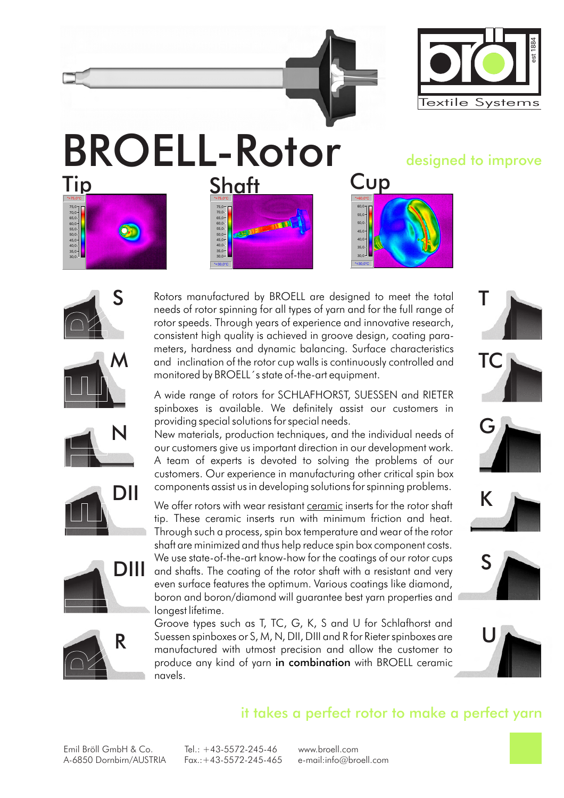

# BROELL-Rotor<br>Tin Shaft Cup





S



monitored by BROELL´s state of-the-art equipment.





Rotors manufactured by BROELL are designed to meet the total needs of rotor spinning for all types of yarn and for the full range of rotor speeds. Through years of experience and innovative research, consistent high quality is achieved in groove design, coating parameters, hardness and dynamic balancing. Surface characteristics

New materials, production techniques, and the individual needs of our customers give us important direction in our development work. A team of experts is devoted to solving the problems of our customers. Our experience in manufacturing other critical spin box







#### it takes a perfect rotor to make a perfect yarn

Emil Bröll GmbH & Co. Tel.: +43-5572-245-46 www.broell.com A-6850 Dornbirn/AUSTRIA Fax.:+43-5572-245-465 e-mail:info@broell.com

longest lifetime.

navels.



providing special solutions for special needs.

components assist us in developing solutions for spinning problems.

We offer rotors with wear resistant ceramic inserts for the rotor shaft tip. These ceramic inserts run with minimum friction and heat. Through such a process, spin box temperature and wear of the rotor shaft are minimized and thus help reduce spin box component costs. We use state-of-the-art know-how for the coatinas of our rotor cups

even surface features the optimum. Various coatings like diamond, boron and boron/diamond will guarantee best yarn properties and

Groove types such as T, TC, G, K, S and U for Schlafhorst and Suessen spinboxes or S, M, N, DII, DIII and R for Rieter spinboxes are manufactured with utmost precision and allow the customer to produce any kind of yarn in combination with BROELL ceramic



N



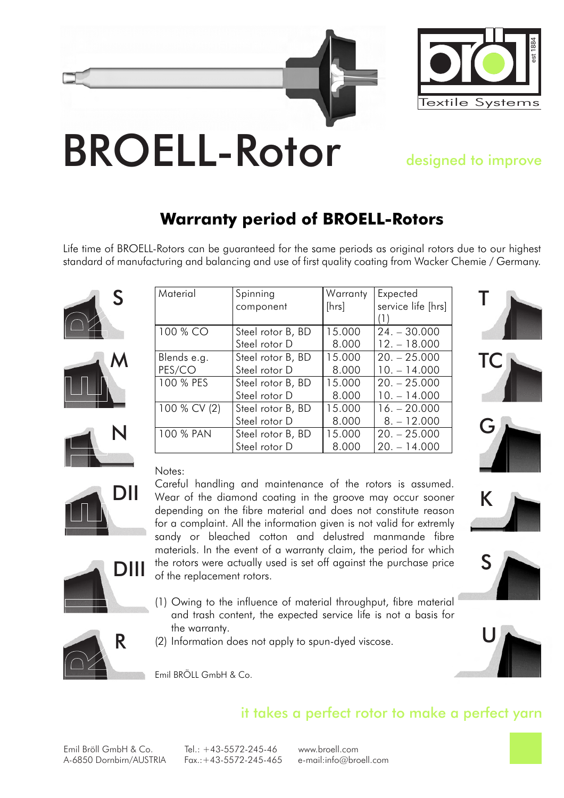



## designed to improve

### **Warranty period of BROELL-Rotors**

Life time of BROELL-Rotors can be guaranteed for the same periods as original rotors due to our highest standard of manufacturing and balancing and use of first quality coating from Wacker Chemie / Germany.







DII

DIII





K

S

#### Notes:

Careful handling and maintenance of the rotors is assumed. Wear of the diamond coating in the groove may occur sooner depending on the fibre material and does not constitute reason for a complaint. All the information given is not valid for extremly sandy or bleached cotton and delustred manmande fibre materials. In the event of a warranty claim, the period for which the rotors were actually used is set off against the purchase price of the replacement rotors.

- (1) Owing to the influence of material throughput, fibre material and trash content, the expected service life is not a basis for the warranty.
- (2) Information does not apply to spun-dyed viscose.





Emil BRÖLL GmbH & Co.

#### it takes a perfect rotor to make a perfect yarn

Emil Bröll GmbH & Co. Tel.: +43-5572-245-46 www.broell.com A-6850 Dornbirn/AUSTRIA Fax.:+43-5572-245-465 e-mail:info@broell.com

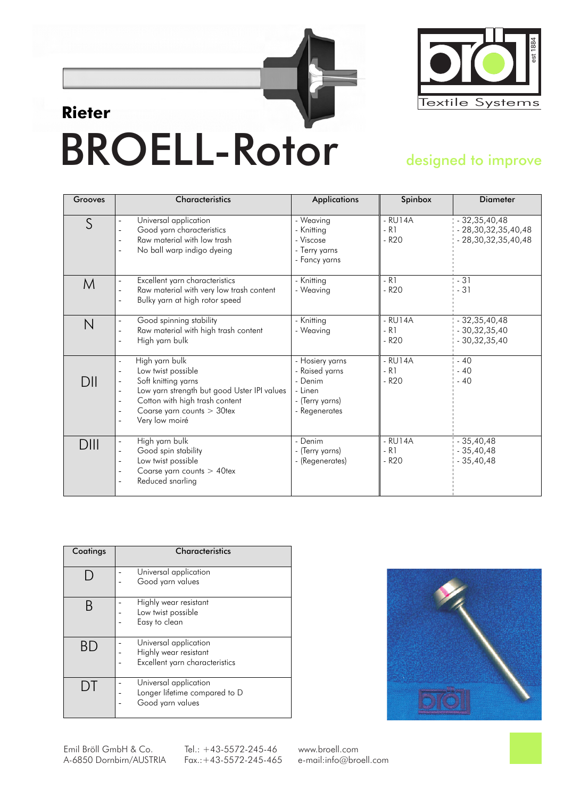

# BROELL-Rotor **Rieter**

#### designed to improve

| Grooves | <b>Characteristics</b>                                                                                                                                                                                              | <b>Applications</b>                                                                         | Spinbox                               | <b>Diameter</b>                                               |
|---------|---------------------------------------------------------------------------------------------------------------------------------------------------------------------------------------------------------------------|---------------------------------------------------------------------------------------------|---------------------------------------|---------------------------------------------------------------|
| S       | Universal application<br>Good yarn characteristics<br>Raw material with low trash<br>No ball warp indigo dyeing                                                                                                     | - Weaving<br>- Knitting<br>- Viscose<br>- Terry yarns<br>- Fancy yarns                      | $-$ RU14A<br>R <sub>1</sub><br>- R20  | $-32,35,40,48$<br>28, 30, 32, 35, 40, 48<br>28,30,32,35,40,48 |
| M       | Excellent yarn characteristics<br>$\overline{\phantom{0}}$<br>Raw material with very low trash content<br>Bulky yarn at high rotor speed                                                                            | - Knitting<br>- Weaving                                                                     | - R1<br>- R <sub>20</sub>             | - 31<br>31                                                    |
| N       | Good spinning stability<br>$\overline{\phantom{0}}$<br>Raw material with high trash content<br>High yarn bulk                                                                                                       | - Knitting<br>- Weaving                                                                     | - RU14A<br>R <sub>1</sub><br>- R20    | 32, 35, 40, 48<br>30, 32, 35, 40<br>30, 32, 35, 40            |
| DII     | High yarn bulk<br>$\blacksquare$<br>Low twist possible<br>Soft knitting yarns<br>Low yarn strength but good Uster IPI values<br>Cotton with high trash content<br>٠<br>Coarse yarn counts > 30tex<br>Very low moiré | - Hosiery yarns<br>- Raised yarns<br>- Denim<br>- Linen<br>- (Terry yarns)<br>- Regenerates | RU14A<br>R <sub>1</sub><br><b>R20</b> | $-40$<br>$-40$<br>40                                          |
| DIII    | High yarn bulk<br>$\overline{\phantom{0}}$<br>Good spin stability<br>Low twist possible<br>٠<br>Coarse yarn counts > 40tex<br>Reduced snarling                                                                      | - Denim<br>- (Terry yarns)<br>- (Regenerates)                                               | RU14A<br>R <sub>1</sub><br><b>R20</b> | 35,40,48<br>$-35,40,48$<br>35,40,48                           |

| Coatings | <b>Characteristics</b>                                                           |  |
|----------|----------------------------------------------------------------------------------|--|
|          | Universal application<br>Good yarn values                                        |  |
|          | Highly wear resistant<br>Low twist possible<br>Easy to clean                     |  |
|          | Universal application<br>Highly wear resistant<br>Excellent yarn characteristics |  |
|          | Universal application<br>Longer lifetime compared to D<br>Good yarn values       |  |



Emil Bröll GmbH & Co. Tel.: +43-5572-245-46 www.broell.com A-6850 Dornbirn/AUSTRIA Fax.:+43-5572-245-465 e-mail:info@broell.com